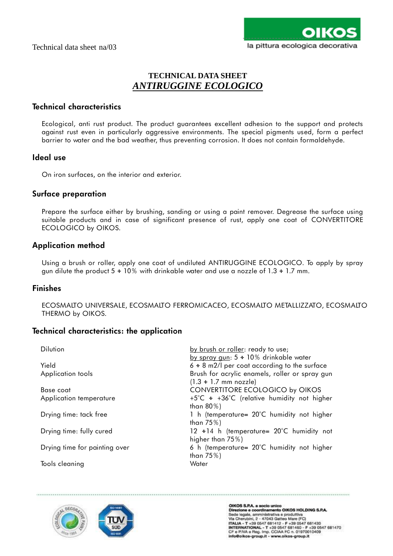# **TECHNICAL DATA SHEET** *ANTIRUGGINE ECOLOGICO*

## **Technical characteristics**

Ecological, anti rust product. The product guarantees excellent adhesion to the support and protects against rust even in particularly aggressive environments. The special pigments used, form a perfect barrier to water and the bad weather, thus preventing corrosion. It does not contain formaldehyde.

### **Ideal use**

On iron surfaces, on the interior and exterior.

### **Surface preparation**

Prepare the surface either by brushing, sanding or using a paint remover. Degrease the surface using suitable products and in case of significant presence of rust, apply one coat of CONVERTITORE ECOLOGICO by OIKOS.

### **Application method**

Using a brush or roller, apply one coat of undiluted ANTIRUGGINE ECOLOGICO. To apply by spray gun dilute the product  $5 \div 10\%$  with drinkable water and use a nozzle of  $1.3 \div 1.7$  mm.

#### **Finishes**

ECOSMALTO UNIVERSALE, ECOSMALTO FERROMICACEO, ECOSMALTO METALLIZZATO, ECOSMALTO THERMO by OIKOS.

## **Technical characteristics: the application**

| <b>Dilution</b>               | by brush or roller: ready to use;<br>by spray gun: $5 \div 10\%$ drinkable water |
|-------------------------------|----------------------------------------------------------------------------------|
| Yield                         | $6 \div 8$ m2/l per coat according to the surface                                |
| Application tools             | Brush for acrylic enamels, roller or spray gun                                   |
|                               | $(1.3 \div 1.7 \text{ mm} \text{ nozzle})$                                       |
| Base coat                     | <b>CONVERTITORE ECOLOGICO by OIKOS</b>                                           |
| Application temperature       | +5°C + +36°C (relative humidity not higher                                       |
|                               | than $80\%$ )                                                                    |
| Drying time: tack free        | 1 h (temperature= 20°C humidity not higher                                       |
|                               | than $75\%$ )                                                                    |
| Drying time: fully cured      | 12 $\div$ 14 h (temperature= 20°C humidity not                                   |
|                               | higher than $75\%$ )                                                             |
| Drying time for painting over | 6 h (temperature= 20°C humidity not higher                                       |
|                               | than $75\%$ )                                                                    |
| Tools cleaning                | Water                                                                            |



OIKOS S.P.A. a socio unico<br>Direzione e coordinamento OIKOS HOLDING S.P.A. Unezone e coordinamento Unico House<br>Sede legale, amministrativa e produttiva<br>Via Cherubini, 2 - 47043 Gatteo Mare (FC)<br>ITALIA - T +39 0547 681412 - F +39 0547 681470<br>INTERNATIONAL - T +39 0547 681480 - F +39 0547 681470<br>CF info@oikos-group.it - www.oikos-group.it